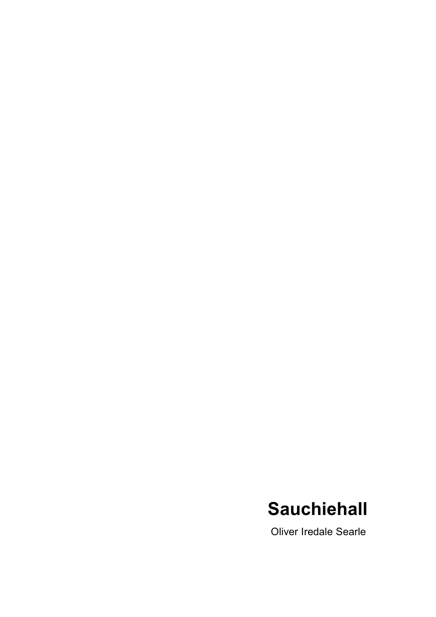Oliver Iredale Searle

## **Sauchiehall**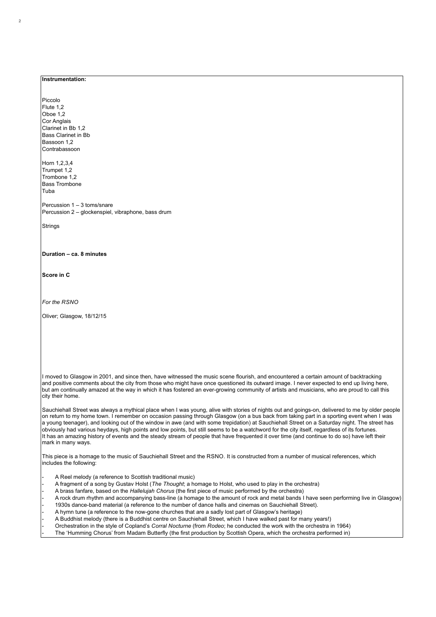| Instrumentation:                                                                                                                                 |
|--------------------------------------------------------------------------------------------------------------------------------------------------|
|                                                                                                                                                  |
|                                                                                                                                                  |
| Piccolo                                                                                                                                          |
| Flute 1,2                                                                                                                                        |
|                                                                                                                                                  |
| Oboe 1,2                                                                                                                                         |
| Cor Anglais                                                                                                                                      |
| Clarinet in Bb 1,2                                                                                                                               |
| <b>Bass Clarinet in Bb</b>                                                                                                                       |
| Bassoon 1,2                                                                                                                                      |
| Contrabassoon                                                                                                                                    |
|                                                                                                                                                  |
| Horn 1, 2, 3, 4                                                                                                                                  |
| Trumpet 1,2                                                                                                                                      |
|                                                                                                                                                  |
| Trombone 1,2                                                                                                                                     |
| <b>Bass Trombone</b>                                                                                                                             |
| Tuba                                                                                                                                             |
|                                                                                                                                                  |
| Percussion 1 - 3 toms/snare                                                                                                                      |
| Percussion 2 – glockenspiel, vibraphone, bass drum                                                                                               |
|                                                                                                                                                  |
| Strings                                                                                                                                          |
|                                                                                                                                                  |
|                                                                                                                                                  |
|                                                                                                                                                  |
|                                                                                                                                                  |
| Duration - ca. 8 minutes                                                                                                                         |
|                                                                                                                                                  |
|                                                                                                                                                  |
| Score in C                                                                                                                                       |
|                                                                                                                                                  |
|                                                                                                                                                  |
|                                                                                                                                                  |
|                                                                                                                                                  |
| For the RSNO                                                                                                                                     |
|                                                                                                                                                  |
| Oliver; Glasgow, 18/12/15                                                                                                                        |
|                                                                                                                                                  |
|                                                                                                                                                  |
|                                                                                                                                                  |
|                                                                                                                                                  |
|                                                                                                                                                  |
|                                                                                                                                                  |
|                                                                                                                                                  |
|                                                                                                                                                  |
| I moved to Glasgow in 2001, and since then, have witnessed the music scene flourish, and encountered a certain amount of backtracking            |
| and positive comments about the city from those who might have once questioned its outward image. I never expected to end up living here,        |
|                                                                                                                                                  |
| but am continually amazed at the way in which it has fostered an ever-growing community of artists and musicians, who are proud to call this     |
| city their home.                                                                                                                                 |
|                                                                                                                                                  |
| Sauchiehall Street was always a mythical place when I was young, alive with stories of nights out and goings-on, delivered to me by older people |
| on return to my home town. I remember on occasion passing through Glasgow (on a bus back from taking part in a sporting event when I was         |
| a young teenager), and looking out of the window in awe (and with some trepidation) at Sauchiehall Street on a Saturday night. The street has    |
| obviously had various heydays, high points and low points, but still seems to be a watchword for the city itself, regardless of its fortunes.    |
| It has an amazing history of events and the steady stream of people that have frequented it over time (and continue to do so) have left their    |

- A fragment of a song by Gustav Holst (*The Thought*; a homage to Holst, who used to play in the orchestra)
- A brass fanfare, based on the *Hallelujah Chorus* (the first piece of music performed by the orchestra)
- A rock drum rhythm and accompanying bass-line (a homage to the amount of rock and metal bands I have seen performing live in Glasgow)
- 1930s dance-band material (a reference to the number of dance halls and cinemas on Sauchiehall Street).
- A hymn tune (a reference to the now-gone churches that are a sadly lost part of Glasgow's heritage)
- A Buddhist melody (there is a Buddhist centre on Sauchiehall Street, which I have walked past for many years!)
- Orchestration in the style of Copland's *Corral Nocturne* (from *Rodeo*; he conducted the work with the orchestra in 1964)
- The 'Humming Chorus' from Madam Butterfly (the first production by Scottish Opera, which the orchestra performed in)

mark in many ways.

This piece is a homage to the music of Sauchiehall Street and the RSNO. It is constructed from a number of musical references, which includes the following:

- A Reel melody (a reference to Scottish traditional music)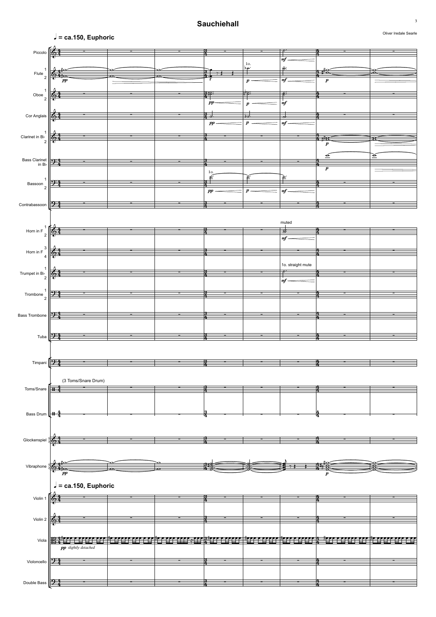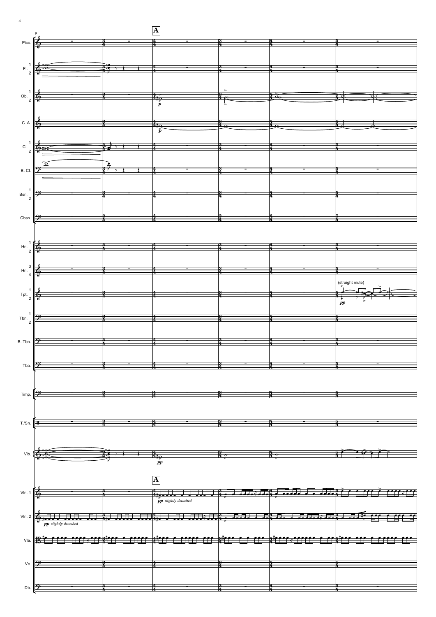**A**



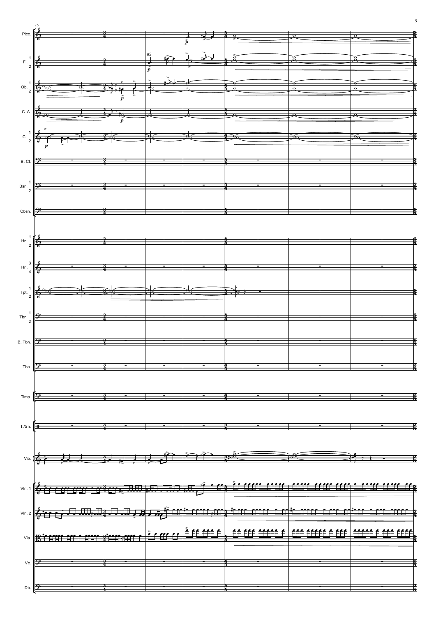

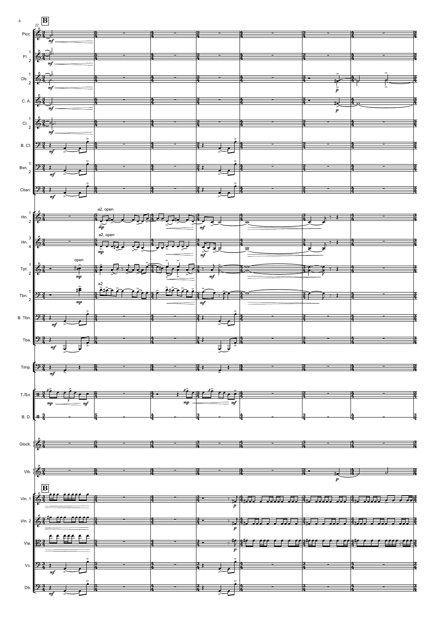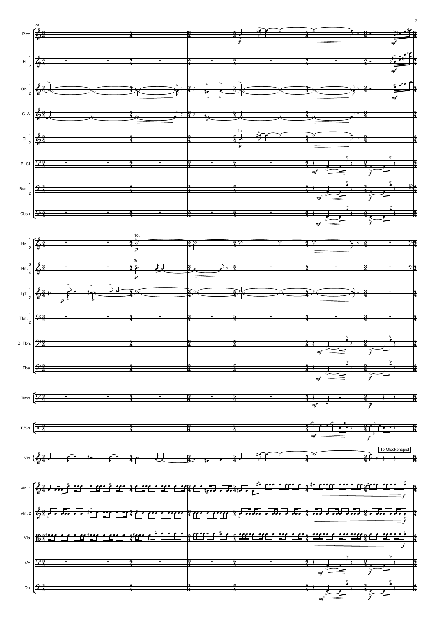

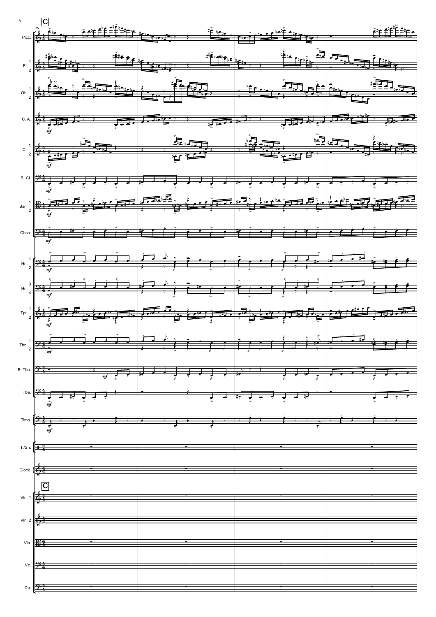

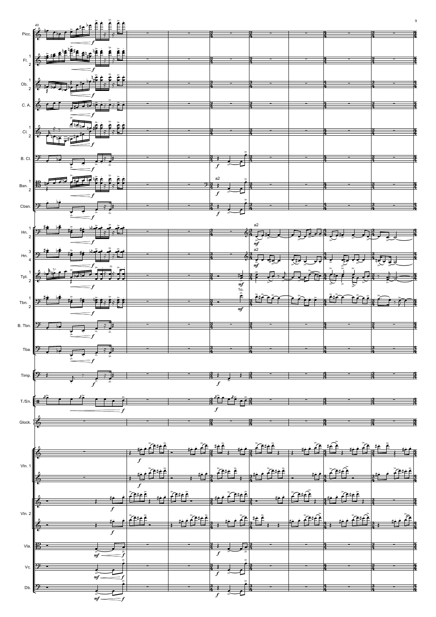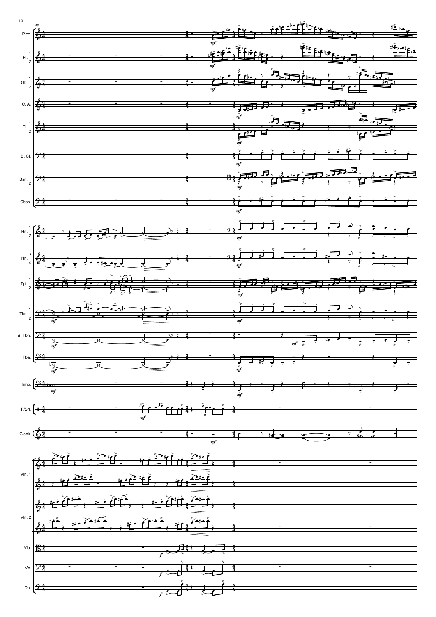![](_page_9_Figure_0.jpeg)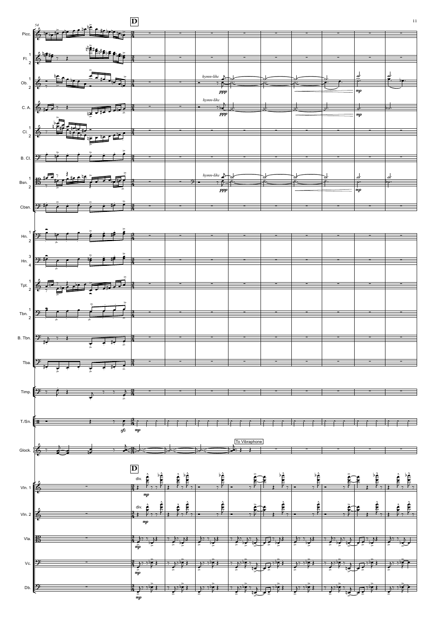![](_page_10_Figure_0.jpeg)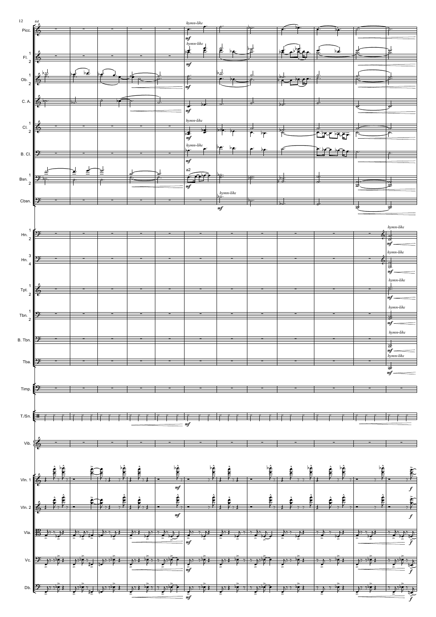![](_page_11_Figure_0.jpeg)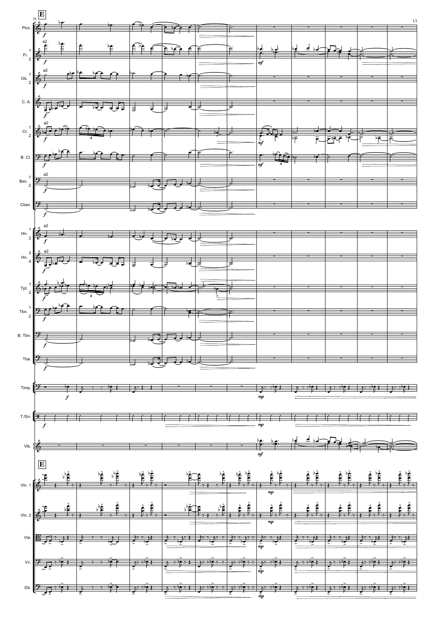![](_page_12_Figure_0.jpeg)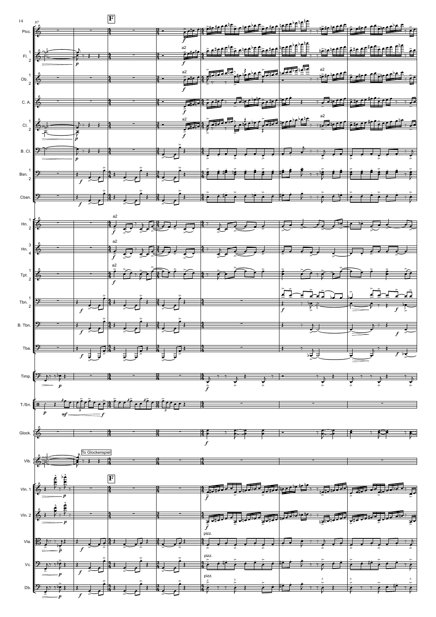![](_page_13_Figure_0.jpeg)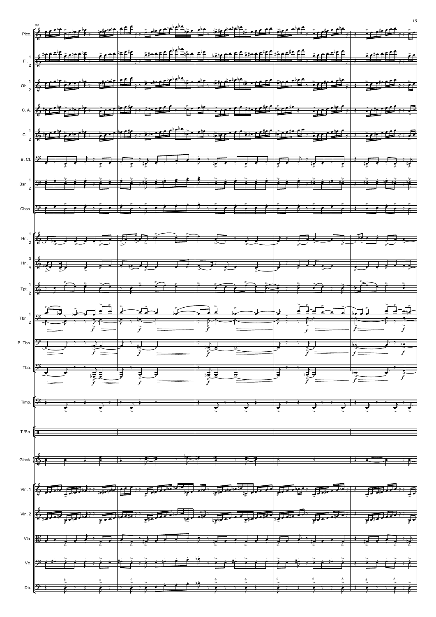![](_page_14_Figure_0.jpeg)

![](_page_14_Figure_1.jpeg)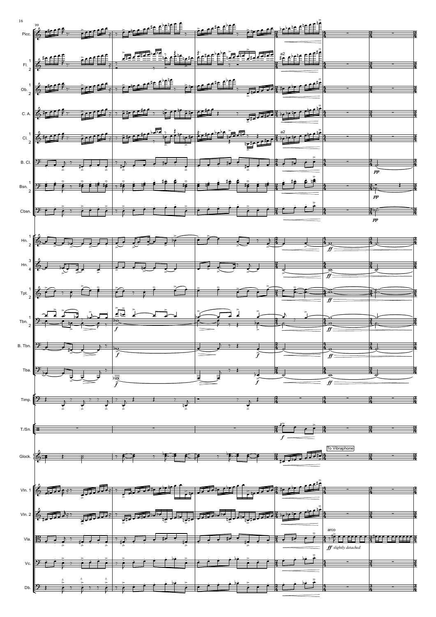![](_page_15_Figure_0.jpeg)

![](_page_15_Figure_1.jpeg)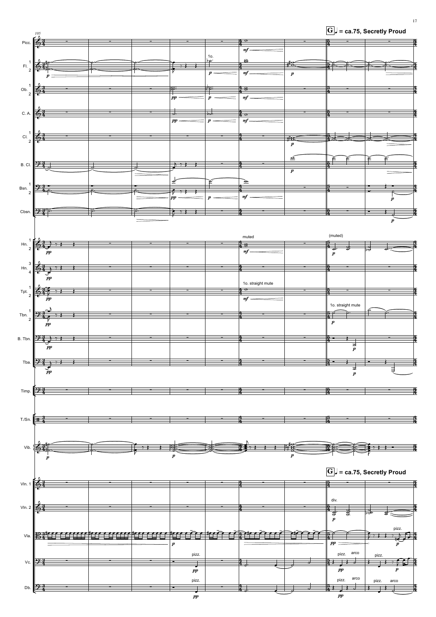![](_page_16_Figure_0.jpeg)

![](_page_16_Figure_2.jpeg)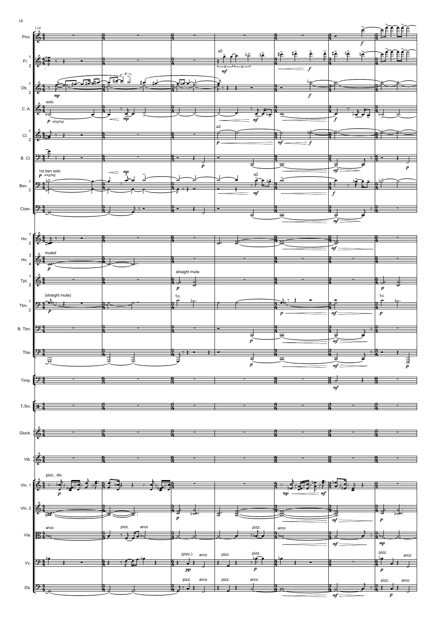![](_page_17_Figure_1.jpeg)

![](_page_17_Figure_0.jpeg)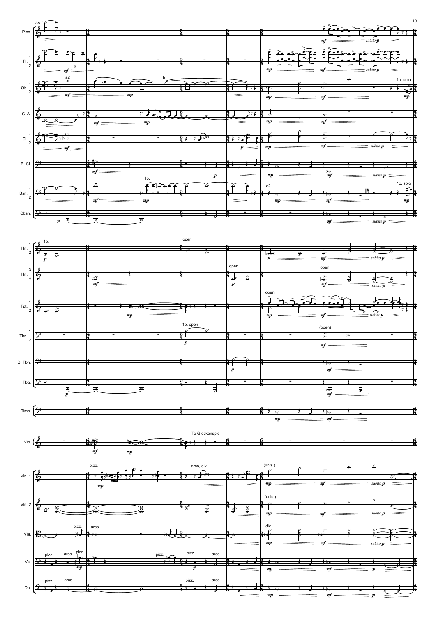![](_page_18_Figure_0.jpeg)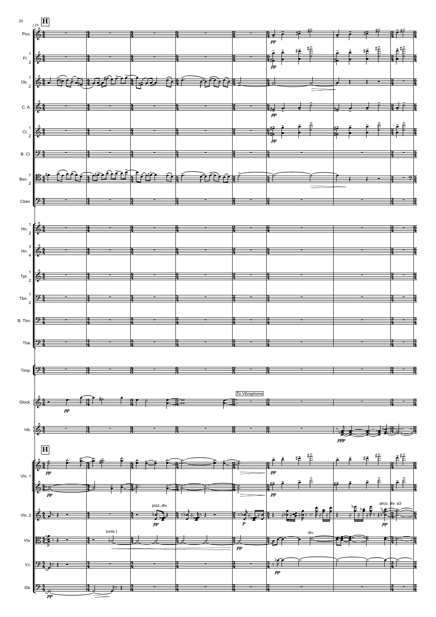![](_page_19_Figure_0.jpeg)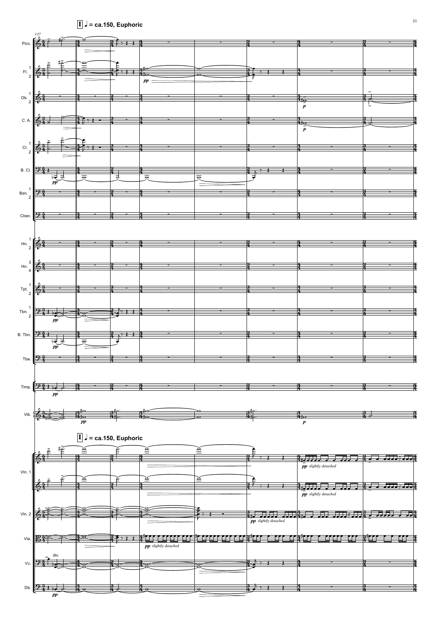![](_page_20_Figure_0.jpeg)

![](_page_20_Figure_1.jpeg)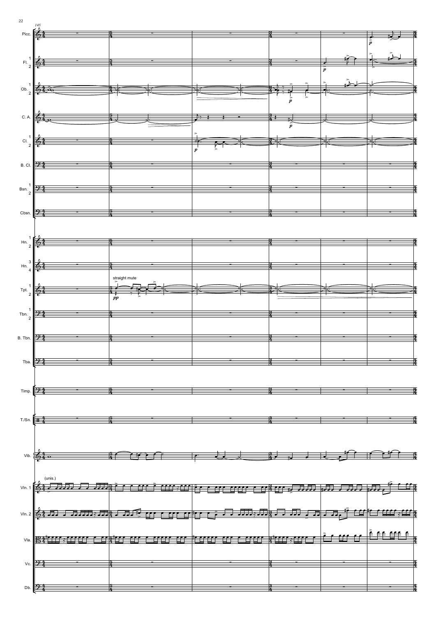![](_page_21_Figure_0.jpeg)

![](_page_21_Figure_1.jpeg)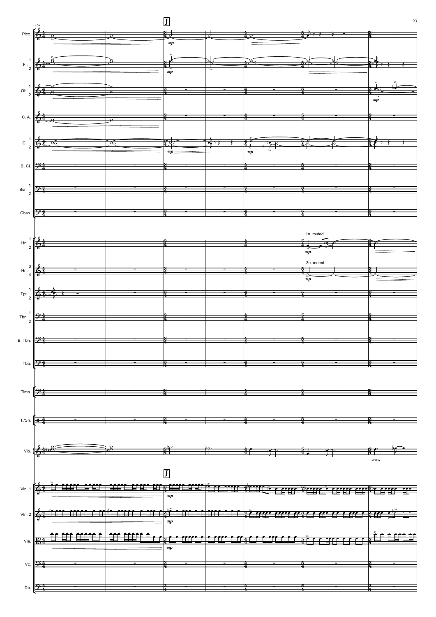![](_page_22_Figure_1.jpeg)

![](_page_22_Figure_0.jpeg)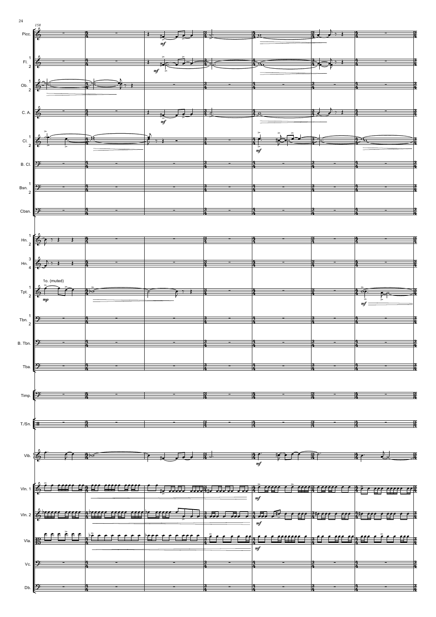![](_page_23_Figure_1.jpeg)

![](_page_23_Figure_0.jpeg)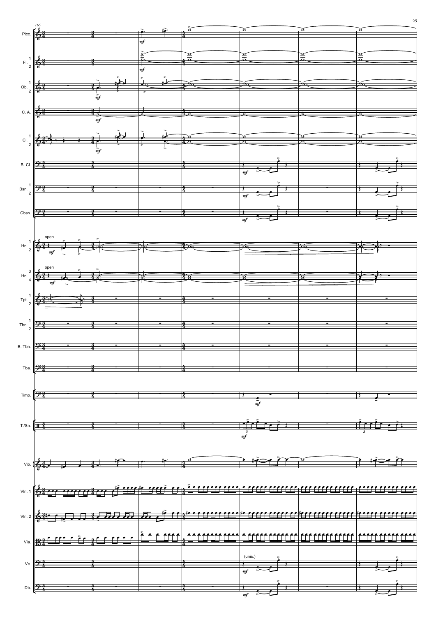![](_page_24_Figure_0.jpeg)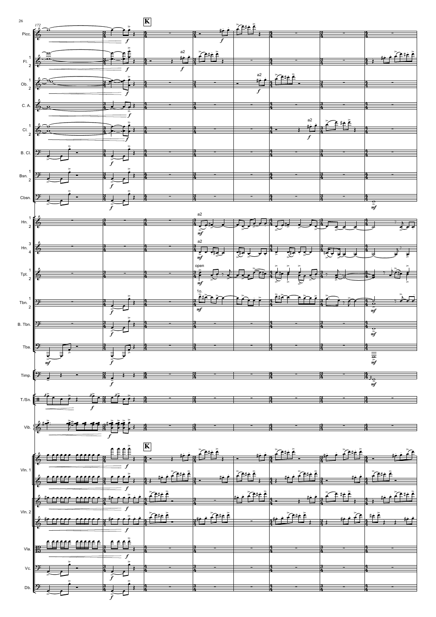![](_page_25_Figure_0.jpeg)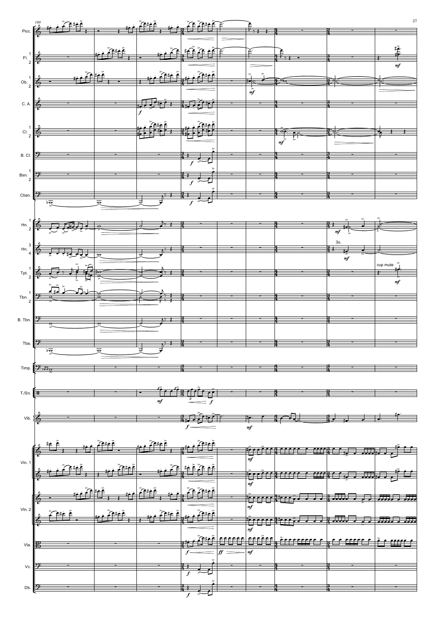![](_page_26_Figure_0.jpeg)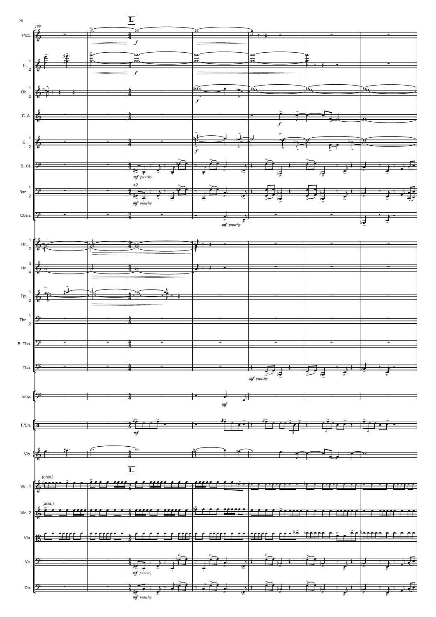![](_page_27_Figure_0.jpeg)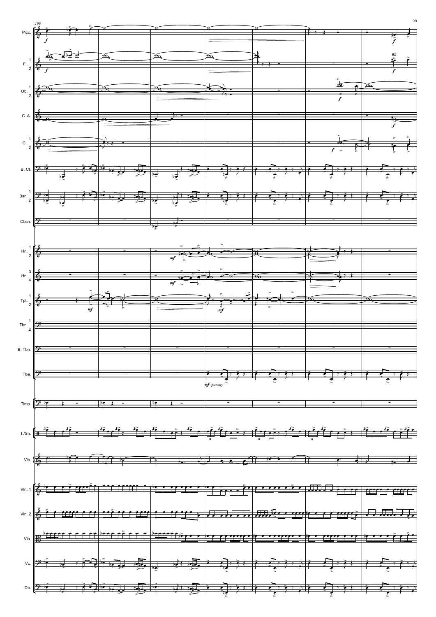![](_page_28_Figure_0.jpeg)

![](_page_28_Figure_2.jpeg)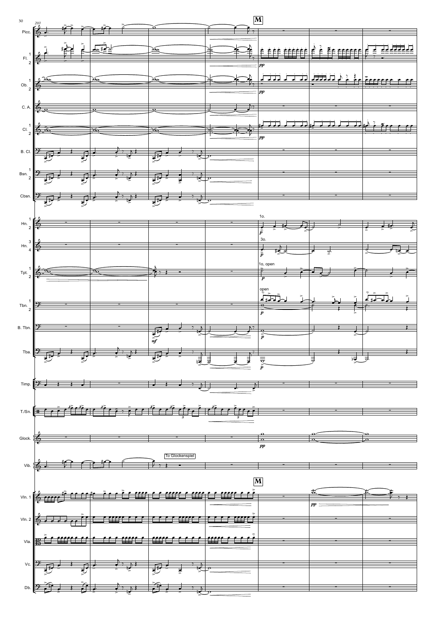![](_page_29_Figure_0.jpeg)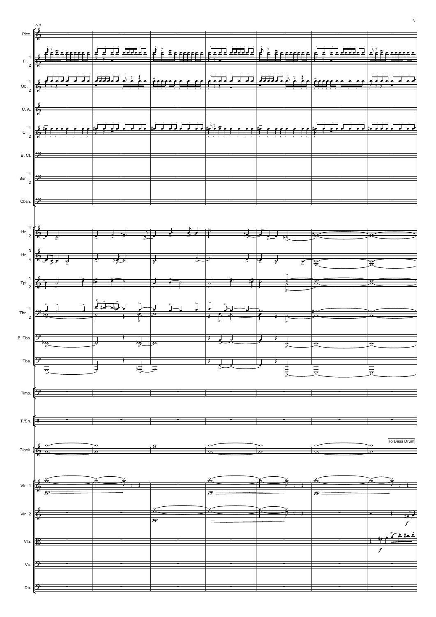![](_page_30_Figure_0.jpeg)

![](_page_30_Figure_2.jpeg)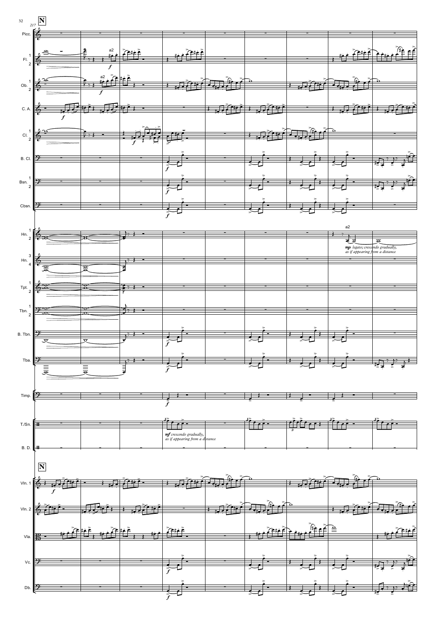![](_page_31_Figure_0.jpeg)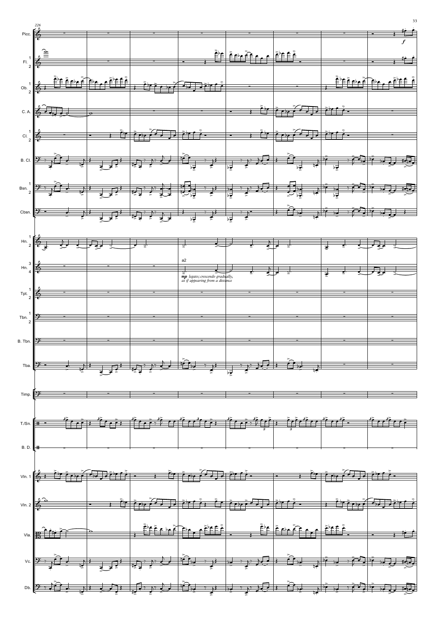![](_page_32_Figure_0.jpeg)

![](_page_32_Figure_1.jpeg)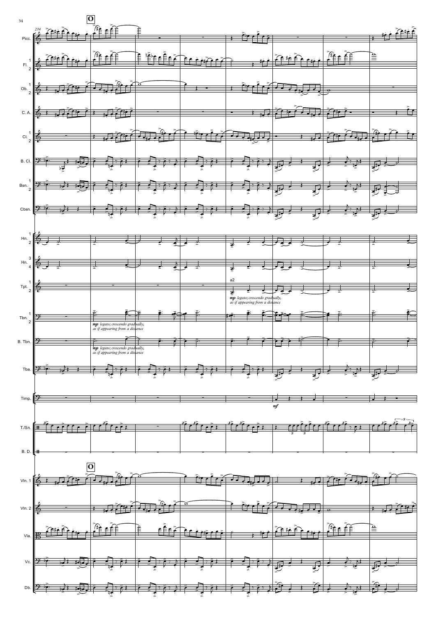![](_page_33_Figure_0.jpeg)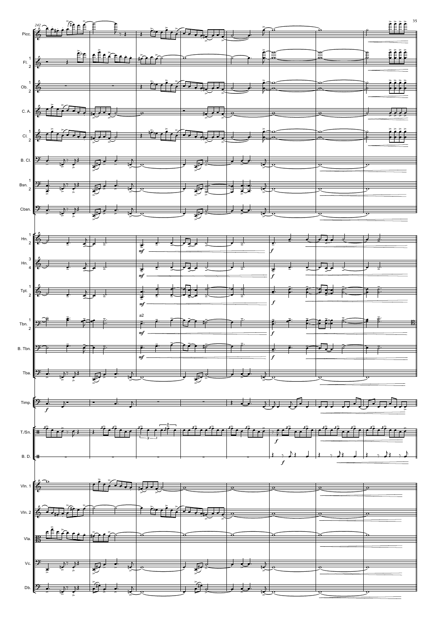![](_page_34_Figure_1.jpeg)

![](_page_34_Figure_0.jpeg)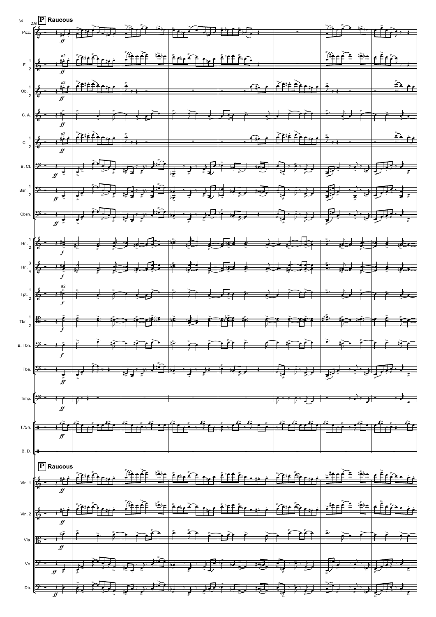![](_page_35_Figure_0.jpeg)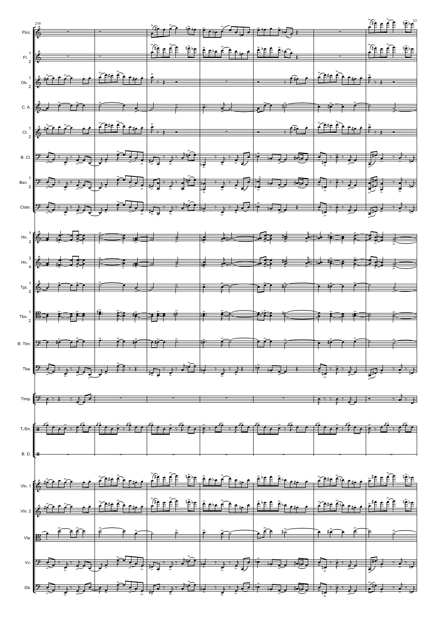![](_page_36_Figure_0.jpeg)

![](_page_36_Figure_1.jpeg)